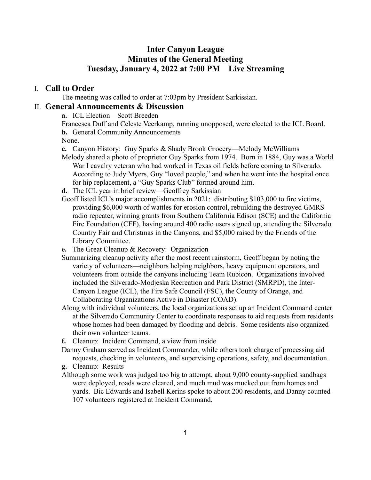# **Inter Canyon League Minutes of the General Meeting Tuesday, January 4, 2022 at 7:00 PM Live Streaming**

### I. **Call to Order**

The meeting was called to order at 7:03pm by President Sarkissian.

## II. **General Announcements & Discussion**

**a.** ICL Election—Scott Breeden

Francesca Duff and Celeste Veerkamp, running unopposed, were elected to the ICL Board. **b.** General Community Announcements

None.

**c.** Canyon History: Guy Sparks & Shady Brook Grocery—Melody McWilliams

- Melody shared a photo of proprietor Guy Sparks from 1974. Born in 1884, Guy was a World War I cavalry veteran who had worked in Texas oil fields before coming to Silverado. According to Judy Myers, Guy "loved people," and when he went into the hospital once for hip replacement, a "Guy Sparks Club" formed around him.
- **d.** The ICL year in brief review—Geoffrey Sarkissian
- Geoff listed ICL's major accomplishments in 2021: distributing \$103,000 to fire victims, providing \$6,000 worth of wattles for erosion control, rebuilding the destroyed GMRS radio repeater, winning grants from Southern California Edison (SCE) and the California Fire Foundation (CFF), having around 400 radio users signed up, attending the Silverado Country Fair and Christmas in the Canyons, and \$5,000 raised by the Friends of the Library Committee.
- **e.** The Great Cleanup & Recovery: Organization
- Summarizing cleanup activity after the most recent rainstorm, Geoff began by noting the variety of volunteers—neighbors helping neighbors, heavy equipment operators, and volunteers from outside the canyons including Team Rubicon. Organizations involved included the Silverado-Modjeska Recreation and Park District (SMRPD), the Inter-Canyon League (ICL), the Fire Safe Council (FSC), the County of Orange, and Collaborating Organizations Active in Disaster (COAD).
- Along with individual volunteers, the local organizations set up an Incident Command center at the Silverado Community Center to coordinate responses to aid requests from residents whose homes had been damaged by flooding and debris. Some residents also organized their own volunteer teams.
- **f.** Cleanup: Incident Command, a view from inside
- Danny Graham served as Incident Commander, while others took charge of processing aid requests, checking in volunteers, and supervising operations, safety, and documentation.
- **g.** Cleanup: Results
- Although some work was judged too big to attempt, about 9,000 county-supplied sandbags were deployed, roads were cleared, and much mud was mucked out from homes and yards. Bic Edwards and Isabell Kerins spoke to about 200 residents, and Danny counted 107 volunteers registered at Incident Command.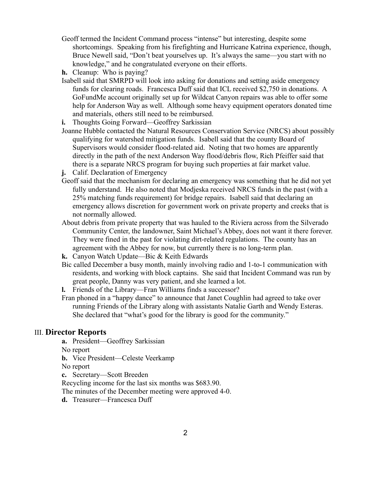- Geoff termed the Incident Command process "intense" but interesting, despite some shortcomings. Speaking from his firefighting and Hurricane Katrina experience, though, Bruce Newell said, "Don't beat yourselves up. It's always the same—you start with no knowledge," and he congratulated everyone on their efforts.
- **h.** Cleanup: Who is paying?
- Isabell said that SMRPD will look into asking for donations and setting aside emergency funds for clearing roads. Francesca Duff said that ICL received \$2,750 in donations. A GoFundMe account originally set up for Wildcat Canyon repairs was able to offer some help for Anderson Way as well. Although some heavy equipment operators donated time and materials, others still need to be reimbursed.
- **i.** Thoughts Going Forward—Geoffrey Sarkissian
- Joanne Hubble contacted the Natural Resources Conservation Service (NRCS) about possibly qualifying for watershed mitigation funds. Isabell said that the county Board of Supervisors would consider flood-related aid. Noting that two homes are apparently directly in the path of the next Anderson Way flood/debris flow, Rich Pfeiffer said that there is a separate NRCS program for buying such properties at fair market value.
- **j.** Calif. Declaration of Emergency
- Geoff said that the mechanism for declaring an emergency was something that he did not yet fully understand. He also noted that Modjeska received NRCS funds in the past (with a 25% matching funds requirement) for bridge repairs. Isabell said that declaring an emergency allows discretion for government work on private property and creeks that is not normally allowed.
- About debris from private property that was hauled to the Riviera across from the Silverado Community Center, the landowner, Saint Michael's Abbey, does not want it there forever. They were fined in the past for violating dirt-related regulations. The county has an agreement with the Abbey for now, but currently there is no long-term plan.
- **k.** Canyon Watch Update—Bic & Keith Edwards
- Bic called December a busy month, mainly involving radio and 1-to-1 communication with residents, and working with block captains. She said that Incident Command was run by great people, Danny was very patient, and she learned a lot.

**l.** Friends of the Library—Fran Williams finds a successor?

Fran phoned in a "happy dance" to announce that Janet Coughlin had agreed to take over running Friends of the Library along with assistants Natalie Garth and Wendy Esteras. She declared that "what's good for the library is good for the community."

#### III. **Director Reports**

**a.** President—Geoffrey Sarkissian

No report

**b.** Vice President—Celeste Veerkamp

No report

**c.** Secretary—Scott Breeden

Recycling income for the last six months was \$683.90.

The minutes of the December meeting were approved 4-0.

**d.** Treasurer—Francesca Duff